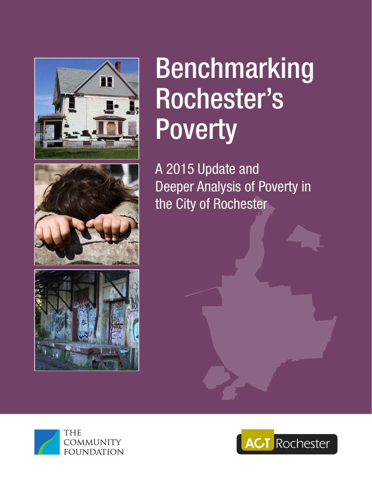

# Benchmarking Rochester's **Poverty**

A 2015 Update and Deeper Analysis of Poverty in the City of Rochester







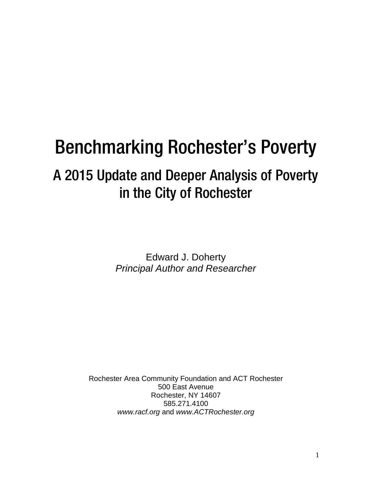## Benchmarking Rochester's Poverty

### A 2015 Update and Deeper Analysis of Poverty in the City of Rochester

Edward J. Doherty *Principal Author and Researcher*

Rochester Area Community Foundation and ACT Rochester 500 East Avenue Rochester, NY 14607 585.271.4100 *[www.racf.org](http://www.racf.org/)* and *[www.ACTRochester.org](http://www.actrochester.org/)*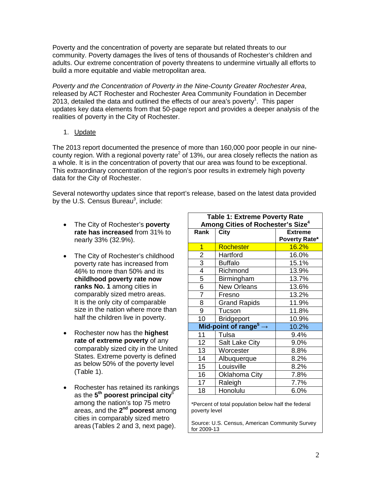Poverty and the concentration of poverty are separate but related threats to our community. Poverty damages the lives of tens of thousands of Rochester's children and adults. Our extreme concentration of poverty threatens to undermine virtually all efforts to build a more equitable and viable metropolitan area.

*Poverty and the Concentration of Poverty in the Nine-County Greater Rochester Area*, released by ACT Rochester and Rochester Area Community Foundation in December 2013, detailed the data and outlined the effects of our area's poverty<sup>1</sup>. This paper updates key data elements from that 50-page report and provides a deeper analysis of the realities of poverty in the City of Rochester.

1. Update

The 2013 report documented the presence of more than 160,000 poor people in our ninecounty region. With a regional poverty rate<sup>2</sup> of 13%, our area closely reflects the nation as a whole. It is in the concentration of poverty that our area was found to be exceptional. This extraordinary concentration of the region's poor results in extremely high poverty data for the City of Rochester.

Several noteworthy updates since that report's release, based on the latest data provided by the U.S. Census Bureau<sup>3</sup>, include:

- The City of Rochester's **poverty rate has increased** from 31% to nearly 33% (32.9%).
- The City of Rochester's childhood poverty rate has increased from 46% to more than 50% and its **childhood poverty rate now ranks No. 1** among cities in comparably sized metro areas. It is the only city of comparable size in the nation where more than half the children live in poverty.
- Rochester now has the **highest rate of extreme poverty** of any comparably sized city in the United States. Extreme poverty is defined as below 50% of the poverty level (Table 1).
- Rochester has retained its rankings as the **5th poorest principal city**<sup>6</sup> among the nation's top 75 metro areas, and the **2nd poorest** among cities in comparably sized metro areas (Tables 2 and 3, next page).

|                                 | <b>Table 1: Extreme Poverty Rate</b><br>Among Cities of Rochester's Size <sup>4</sup> |                                 |  |  |
|---------------------------------|---------------------------------------------------------------------------------------|---------------------------------|--|--|
| Rank                            | City                                                                                  | <b>Extreme</b><br>Poverty Rate* |  |  |
| 1                               | Rochester                                                                             | <b>16.2%</b>                    |  |  |
| $\overline{2}$                  | Hartford                                                                              | 16.0%                           |  |  |
| $\overline{3}$                  | <b>Buffalo</b>                                                                        | 15.1%                           |  |  |
| $\overline{4}$                  | Richmond                                                                              | 13.9%                           |  |  |
| 5                               | Birmingham                                                                            | 13.7%                           |  |  |
| $\overline{6}$                  | <b>New Orleans</b>                                                                    | 13.6%                           |  |  |
| $\overline{7}$                  | Fresno                                                                                | 13.2%                           |  |  |
| 8                               | <b>Grand Rapids</b>                                                                   | 11.9%                           |  |  |
| 9                               | Tucson                                                                                | 11.8%                           |  |  |
| 10                              | <b>Bridgeport</b>                                                                     | 10.9%                           |  |  |
| Mid-point of range <sup>5</sup> |                                                                                       | 10.2%                           |  |  |
| 11                              | Tulsa                                                                                 | 9.4%                            |  |  |
| 12                              | <b>Salt Lake City</b>                                                                 | 9.0%                            |  |  |
| 13                              | Worcester                                                                             | 8.8%                            |  |  |
| 14                              | Albuquerque                                                                           | 8.2%                            |  |  |
| 15                              | Louisville                                                                            | 8.2%                            |  |  |
| 16                              | Oklahoma City                                                                         | 7.8%                            |  |  |
| 17                              | Raleigh                                                                               | 7.7%                            |  |  |
| 18                              | Honolulu                                                                              | 6.0%                            |  |  |
|                                 |                                                                                       |                                 |  |  |

\*Percent of total population below half the federal poverty level

Source: U.S. Census, American Community Survey for 2009-13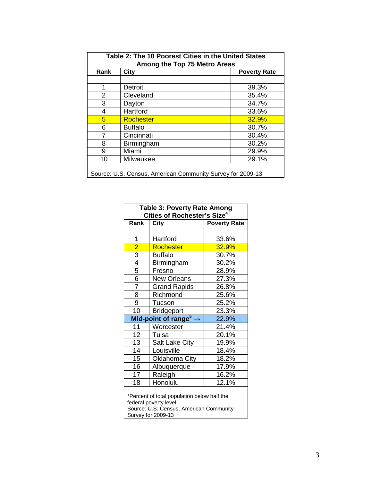| Table 2: The 10 Poorest Cities in the United States<br>Among the Top 75 Metro Areas |                  |                     |  |  |
|-------------------------------------------------------------------------------------|------------------|---------------------|--|--|
| Rank                                                                                | <b>City</b>      | <b>Poverty Rate</b> |  |  |
|                                                                                     |                  |                     |  |  |
| 1                                                                                   | Detroit          | 39.3%               |  |  |
| $\overline{2}$                                                                      | Cleveland        | 35.4%               |  |  |
| 3                                                                                   | Dayton           | 34.7%               |  |  |
| 4                                                                                   | Hartford         | 33.6%               |  |  |
| 5                                                                                   | <b>Rochester</b> | 32.9%               |  |  |
| 6                                                                                   | <b>Buffalo</b>   | 30.7%               |  |  |
| 7                                                                                   | Cincinnati       | 30.4%               |  |  |
| 8                                                                                   | Birmingham       | 30.2%               |  |  |
| 9                                                                                   | Miami            | 29.9%               |  |  |
| 10                                                                                  | Milwaukee        | 29.1%               |  |  |
| Source: U.S. Census, American Community Survey for 2009-13                          |                  |                     |  |  |

|                                                                      | <b>Table 3: Poverty Rate Among</b><br>Cities of Rochester's Size <sup>4</sup> |                     |  |  |  |
|----------------------------------------------------------------------|-------------------------------------------------------------------------------|---------------------|--|--|--|
| Rank                                                                 | City                                                                          | <b>Poverty Rate</b> |  |  |  |
|                                                                      |                                                                               |                     |  |  |  |
| 1                                                                    | Hartford                                                                      | 33.6%               |  |  |  |
|                                                                      | Rochester                                                                     | 32.9%               |  |  |  |
| $\frac{2}{3}$                                                        | <b>Buffalo</b>                                                                | 30.7%               |  |  |  |
| $\overline{4}$                                                       | Birmingham                                                                    | 30.2%               |  |  |  |
| 5                                                                    | Fresno                                                                        | 28.9%               |  |  |  |
| $\overline{6}$                                                       | <b>New Orleans</b>                                                            | 27.3%               |  |  |  |
| $\overline{7}$                                                       | <b>Grand Rapids</b>                                                           | 26.8%               |  |  |  |
| 8                                                                    | Richmond                                                                      | 25.6%               |  |  |  |
| 9                                                                    | Tucson                                                                        | 25.2%               |  |  |  |
| 10                                                                   | <b>Bridgeport</b>                                                             | 23.3%               |  |  |  |
|                                                                      | Mid-point of range <sup>5</sup>                                               | 22.9%               |  |  |  |
| 11                                                                   | Worcester                                                                     | 21.4%               |  |  |  |
| 12                                                                   | Tulsa                                                                         | 20.1%               |  |  |  |
| 13                                                                   | Salt Lake City                                                                | 19.9%               |  |  |  |
| 14                                                                   | Louisville                                                                    | 18.4%               |  |  |  |
| 15                                                                   | <b>Oklahoma City</b>                                                          | 18.2%               |  |  |  |
| 16                                                                   | Albuquerque                                                                   | 17.9%               |  |  |  |
| 17                                                                   | Raleigh                                                                       | 16.2%               |  |  |  |
| 18                                                                   | Honolulu                                                                      | 12.1%               |  |  |  |
| *Percent of total population below half the<br>federal poverty level |                                                                               |                     |  |  |  |

Source: U.S. Census, American Community Survey for 2009-13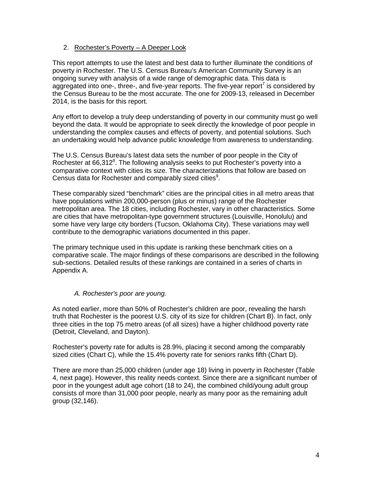#### 2. Rochester's Poverty – A Deeper Look

This report attempts to use the latest and best data to further illuminate the conditions of poverty in Rochester. The U.S. Census Bureau's American Community Survey is an ongoing survey with analysis of a wide range of demographic data. This data is aggregated into one-, three-, and five-year reports. The five-year report<sup>7</sup> is considered by the Census Bureau to be the most accurate. The one for 2009-13, released in December 2014, is the basis for this report.

Any effort to develop a truly deep understanding of poverty in our community must go well beyond the data. It would be appropriate to seek directly the knowledge of poor people in understanding the complex causes and effects of poverty, and potential solutions. Such an undertaking would help advance public knowledge from awareness to understanding.

The U.S. Census Bureau's latest data sets the number of poor people in the City of Rochester at 66,312<sup>8</sup>. The following analysis seeks to put Rochester's poverty into a comparative context with cities its size. The characterizations that follow are based on Census data for Rochester and comparably sized cities<sup>9</sup>.

These comparably sized "benchmark" cities are the principal cities in all metro areas that have populations within 200,000-person (plus or minus) range of the Rochester metropolitan area. The 18 cities, including Rochester, vary in other characteristics. Some are cities that have metropolitan-type government structures (Louisville, Honolulu) and some have very large city borders (Tucson, Oklahoma City). These variations may well contribute to the demographic variations documented in this paper.

The primary technique used in this update is ranking these benchmark cities on a comparative scale. The major findings of these comparisons are described in the following sub-sections. Detailed results of these rankings are contained in a series of charts in Appendix A.

#### *A. Rochester's poor are young.*

As noted earlier, more than 50% of Rochester's children are poor, revealing the harsh truth that Rochester is the poorest U.S. city of its size for children (Chart B). In fact, only three cities in the top 75 metro areas (of all sizes) have a higher childhood poverty rate (Detroit, Cleveland, and Dayton).

Rochester's poverty rate for adults is 28.9%, placing it second among the comparably sized cities (Chart C), while the 15.4% poverty rate for seniors ranks fifth (Chart D).

There are more than 25,000 children (under age 18) living in poverty in Rochester (Table 4, next page). However, this reality needs context. Since there are a significant number of poor in the youngest adult age cohort (18 to 24), the combined child/young adult group consists of more than 31,000 poor people, nearly as many poor as the remaining adult group (32,146).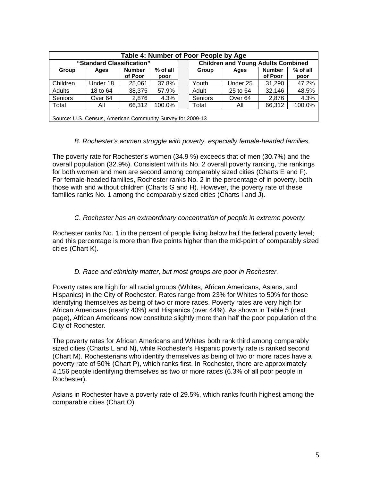| Table 4: Number of Poor People by Age                      |                    |                          |                    |                                           |                |                    |                          |                    |
|------------------------------------------------------------|--------------------|--------------------------|--------------------|-------------------------------------------|----------------|--------------------|--------------------------|--------------------|
| "Standard Classification"                                  |                    |                          |                    | <b>Children and Young Adults Combined</b> |                |                    |                          |                    |
| Group                                                      | Ages               | <b>Number</b><br>of Poor | $%$ of all<br>poor |                                           | Group          | Ages               | <b>Number</b><br>of Poor | $%$ of all<br>poor |
| Children                                                   | Under 18           | 25,061                   | 37.8%              |                                           | Youth          | Under 25           | 31,290                   | 47.2%              |
| Adults                                                     | 18 to 64           | 38,375                   | 57.9%              |                                           | Adult          | 25 to 64           | 32,146                   | 48.5%              |
| <b>Seniors</b>                                             | Over <sub>64</sub> | 2,876                    | 4.3%               |                                           | <b>Seniors</b> | Over <sub>64</sub> | 2.876                    | 4.3%               |
| Total                                                      | All                | 66.312                   | 100.0%             |                                           | Total          | Αll                | 66,312                   | 100.0%             |
| Source: U.S. Census, American Community Survey for 2009-13 |                    |                          |                    |                                           |                |                    |                          |                    |

#### *B. Rochester's women struggle with poverty, especially female-headed families.*

The poverty rate for Rochester's women (34.9 %) exceeds that of men (30.7%) and the overall population (32.9%). Consistent with its No. 2 overall poverty ranking, the rankings for both women and men are second among comparably sized cities (Charts E and F). For female-headed families, Rochester ranks No. 2 in the percentage of in poverty, both those with and without children (Charts G and H). However, the poverty rate of these families ranks No. 1 among the comparably sized cities (Charts I and J).

#### *C. Rochester has an extraordinary concentration of people in extreme poverty.*

Rochester ranks No. 1 in the percent of people living below half the federal poverty level; and this percentage is more than five points higher than the mid-point of comparably sized cities (Chart K).

#### *D. Race and ethnicity matter, but most groups are poor in Rochester.*

Poverty rates are high for all racial groups (Whites, African Americans, Asians, and Hispanics) in the City of Rochester. Rates range from 23% for Whites to 50% for those identifying themselves as being of two or more races. Poverty rates are very high for African Americans (nearly 40%) and Hispanics (over 44%). As shown in Table 5 (next page), African Americans now constitute slightly more than half the poor population of the City of Rochester.

The poverty rates for African Americans and Whites both rank third among comparably sized cities (Charts L and N), while Rochester's Hispanic poverty rate is ranked second (Chart M). Rochesterians who identify themselves as being of two or more races have a poverty rate of 50% (Chart P), which ranks first. In Rochester, there are approximately 4,156 people identifying themselves as two or more races (6.3% of all poor people in Rochester).

Asians in Rochester have a poverty rate of 29.5%, which ranks fourth highest among the comparable cities (Chart O).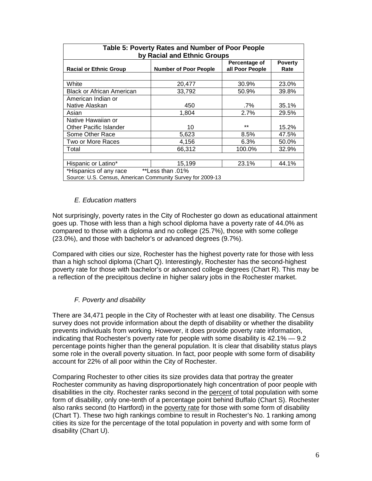| Table 5: Poverty Rates and Number of Poor People           |                              |                                  |                        |  |  |  |  |
|------------------------------------------------------------|------------------------------|----------------------------------|------------------------|--|--|--|--|
| by Racial and Ethnic Groups                                |                              |                                  |                        |  |  |  |  |
| <b>Racial or Ethnic Group</b>                              | <b>Number of Poor People</b> | Percentage of<br>all Poor People | <b>Poverty</b><br>Rate |  |  |  |  |
|                                                            |                              |                                  |                        |  |  |  |  |
| White                                                      | 20,477                       | 30.9%                            | 23.0%                  |  |  |  |  |
| <b>Black or African American</b>                           | 33.792                       | 50.9%                            | 39.8%                  |  |  |  |  |
| American Indian or                                         |                              |                                  |                        |  |  |  |  |
| Native Alaskan                                             | 450                          | $.7\%$                           | 35.1%                  |  |  |  |  |
| Asian                                                      | 1.804                        | 2.7%                             | 29.5%                  |  |  |  |  |
| Native Hawaiian or                                         |                              |                                  |                        |  |  |  |  |
| <b>Other Pacific Islander</b>                              | 10                           | $+ +$                            | 15.2%                  |  |  |  |  |
| Some Other Race                                            | 5,623                        | 8.5%                             | 47.5%                  |  |  |  |  |
| Two or More Races                                          | 4,156                        | 6.3%                             | 50.0%                  |  |  |  |  |
| Total                                                      | 66,312                       | 100.0%                           | 32.9%                  |  |  |  |  |
|                                                            |                              |                                  |                        |  |  |  |  |
| 44.1%<br>15,199<br>23.1%<br>Hispanic or Latino*            |                              |                                  |                        |  |  |  |  |
| **Less than .01%<br>*Hispanics of any race                 |                              |                                  |                        |  |  |  |  |
| Source: U.S. Census, American Community Survey for 2009-13 |                              |                                  |                        |  |  |  |  |

#### *E. Education matters*

Not surprisingly, poverty rates in the City of Rochester go down as educational attainment goes up. Those with less than a high school diploma have a poverty rate of 44.0% as compared to those with a diploma and no college (25.7%), those with some college (23.0%), and those with bachelor's or advanced degrees (9.7%).

Compared with cities our size, Rochester has the highest poverty rate for those with less than a high school diploma (Chart Q). Interestingly, Rochester has the second-highest poverty rate for those with bachelor's or advanced college degrees (Chart R). This may be a reflection of the precipitous decline in higher salary jobs in the Rochester market.

#### *F. Poverty and disability*

There are 34,471 people in the City of Rochester with at least one disability. The Census survey does not provide information about the depth of disability or whether the disability prevents individuals from working. However, it does provide poverty rate information, indicating that Rochester's poverty rate for people with some disability is 42.1% — 9.2 percentage points higher than the general population. It is clear that disability status plays some role in the overall poverty situation. In fact, poor people with some form of disability account for 22% of all poor within the City of Rochester.

Comparing Rochester to other cities its size provides data that portray the greater Rochester community as having disproportionately high concentration of poor people with disabilities in the city. Rochester ranks second in the percent of total population with some form of disability, only one-tenth of a percentage point behind Buffalo (Chart S). Rochester also ranks second (to Hartford) in the poverty rate for those with some form of disability (Chart T). These two high rankings combine to result in Rochester's No. 1 ranking among cities its size for the percentage of the total population in poverty and with some form of disability (Chart U).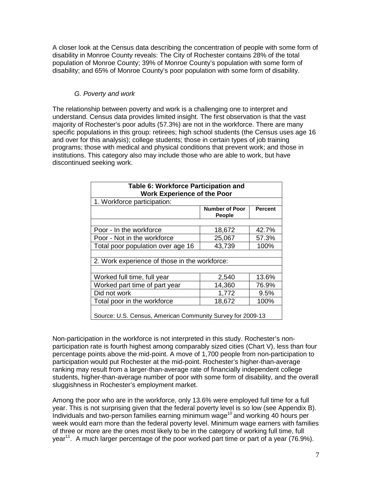A closer look at the Census data describing the concentration of people with some form of disability in Monroe County reveals: The City of Rochester contains 28% of the total population of Monroe County; 39% of Monroe County's population with some form of disability; and 65% of Monroe County's poor population with some form of disability.

#### *G. Poverty and work*

The relationship between poverty and work is a challenging one to interpret and understand. Census data provides limited insight. The first observation is that the vast majority of Rochester's poor adults (57.3%) are not in the workforce. There are many specific populations in this group: retirees; high school students (the Census uses age 16 and over for this analysis); college students; those in certain types of job training programs; those with medical and physical conditions that prevent work; and those in institutions. This category also may include those who are able to work, but have discontinued seeking work.

| Table 6: Workforce Participation and<br><b>Work Experience of the Poor</b> |                                 |                |  |  |  |
|----------------------------------------------------------------------------|---------------------------------|----------------|--|--|--|
| 1. Workforce participation:                                                |                                 |                |  |  |  |
|                                                                            | <b>Number of Poor</b><br>People | <b>Percent</b> |  |  |  |
|                                                                            |                                 |                |  |  |  |
| Poor - In the workforce                                                    | 18,672                          | 42.7%          |  |  |  |
| Poor - Not in the workforce                                                | 25,067                          | 57.3%          |  |  |  |
| Total poor population over age 16                                          | 43,739                          | 100%           |  |  |  |
| 2. Work experience of those in the workforce:                              |                                 |                |  |  |  |
| Worked full time, full year                                                | 2,540                           | 13.6%          |  |  |  |
| Worked part time of part year                                              | 14,360                          | 76.9%          |  |  |  |
| Did not work<br>1,772<br>9.5%                                              |                                 |                |  |  |  |
| Total poor in the workforce                                                | 18,672                          | 100%           |  |  |  |
| Source: U.S. Census, American Community Survey for 2009-13                 |                                 |                |  |  |  |

Non-participation in the workforce is not interpreted in this study. Rochester's nonparticipation rate is fourth highest among comparably sized cities (Chart V), less than four percentage points above the mid-point. A move of 1,700 people from non-participation to participation would put Rochester at the mid-point. Rochester's higher-than-average ranking may result from a larger-than-average rate of financially independent college students, higher-than-average number of poor with some form of disability, and the overall sluggishness in Rochester's employment market.

Among the poor who are in the workforce, only 13.6% were employed full time for a full year. This is not surprising given that the federal poverty level is so low (see Appendix B). Individuals and two-person families earning minimum wage<sup>10</sup> and working 40 hours per week would earn more than the federal poverty level. Minimum wage earners with families of three or more are the ones most likely to be in the category of working full time, full year<sup>11</sup>. A much larger percentage of the poor worked part time or part of a year (76.9%).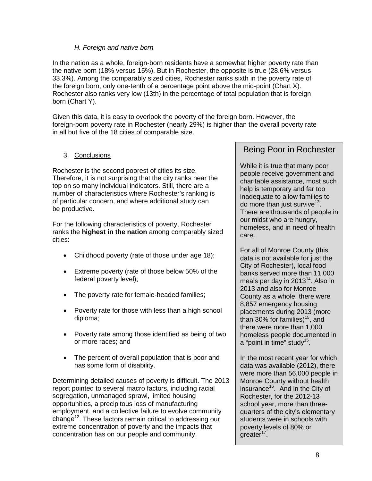#### *H. Foreign and native born*

In the nation as a whole, foreign-born residents have a somewhat higher poverty rate than the native born (18% versus 15%). But in Rochester, the opposite is true (28.6% versus 33.3%). Among the comparably sized cities, Rochester ranks sixth in the poverty rate of the foreign born, only one-tenth of a percentage point above the mid-point (Chart X). Rochester also ranks very low (13th) in the percentage of total population that is foreign born (Chart Y).

Given this data, it is easy to overlook the poverty of the foreign born. However, the foreign-born poverty rate in Rochester (nearly 29%) is higher than the overall poverty rate in all but five of the 18 cities of comparable size.

#### 3. Conclusions

Rochester is the second poorest of cities its size. Therefore, it is not surprising that the city ranks near the top on so many individual indicators. Still, there are a number of characteristics where Rochester's ranking is of particular concern, and where additional study can be productive.

For the following characteristics of poverty, Rochester ranks the **highest in the nation** among comparably sized cities:

- Childhood poverty (rate of those under age 18);
- Extreme poverty (rate of those below 50% of the federal poverty level);
- The poverty rate for female-headed families;
- Poverty rate for those with less than a high school diploma;
- Poverty rate among those identified as being of two or more races; and
- The percent of overall population that is poor and has some form of disability.

Determining detailed causes of poverty is difficult. The 2013 report pointed to several macro factors, including racial segregation, unmanaged sprawl, limited housing opportunities, a precipitous loss of manufacturing employment, and a collective failure to evolve community change<sup>12</sup>. These factors remain critical to addressing our extreme concentration of poverty and the impacts that concentration has on our people and community.

#### Being Poor in Rochester

While it is true that many poor people receive government and charitable assistance, most such help is temporary and far too inadequate to allow families to do more than just survive<sup>13</sup>. There are thousands of people in our midst who are hungry, homeless, and in need of health care.

For all of Monroe County (this data is not available for just the City of Rochester), local food banks served more than 11,000 meals per day in 2013<sup>14</sup>. Also in 2013 and also for Monroe County as a whole, there were 8,857 emergency housing placements during 2013 (more than 30% for families)<sup>15</sup>, and there were more than 1,000 homeless people documented in a "point in time" study<sup>15</sup>.

In the most recent year for which data was available (2012), there were more than 56,000 people in Monroe County without health insurance<sup>16</sup>. And in the City of Rochester, for the 2012-13 school year, more than threequarters of the city's elementary students were in schools with poverty levels of 80% or greater<sup>17</sup>.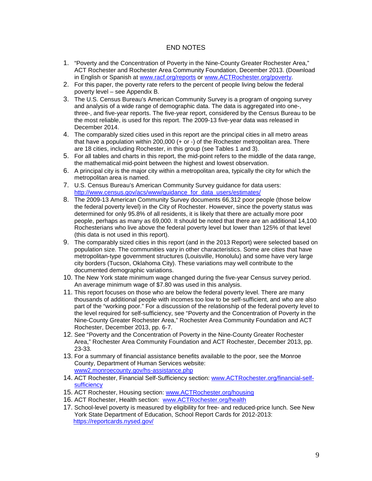#### END NOTES

- 1. "Poverty and the Concentration of Poverty in the Nine-County Greater Rochester Area," ACT Rochester and Rochester Area Community Foundation, December 2013. (Download in English or Spanish at [www.racf.org/reports](http://www.racf.org/reports) or [www.ACTRochester.org/poverty.](http://www.actrochester.org/poverty)
- 2. For this paper, the poverty rate refers to the percent of people living below the federal poverty level – see Appendix B.
- 3. The U.S. Census Bureau's American Community Survey is a program of ongoing survey and analysis of a wide range of demographic data. The data is aggregated into one-, three-, and five-year reports. The five-year report, considered by the Census Bureau to be the most reliable, is used for this report. The 2009-13 five-year data was released in December 2014.
- 4. The comparably sized cities used in this report are the principal cities in all metro areas that have a population within 200,000 (+ or -) of the Rochester metropolitan area. There are 18 cities, including Rochester, in this group (see Tables 1 and 3).
- 5. For all tables and charts in this report, the mid-point refers to the middle of the data range, the mathematical mid-point between the highest and lowest observation.
- 6. A principal city is the major city within a metropolitan area, typically the city for which the metropolitan area is named.
- 7. U.S. Census Bureau's American Community Survey guidance for data users: [http://www.census.gov/acs/www/guidance\\_for\\_data\\_users/estimates/](http://www.census.gov/acs/www/guidance_for_data_users/estimates/)
- 8. The 2009-13 American Community Survey documents 66,312 poor people (those below the federal poverty level) in the City of Rochester. However, since the poverty status was determined for only 95.8% of all residents, it is likely that there are actually more poor people, perhaps as many as 69,000. It should be noted that there are an additional 14,100 Rochesterians who live above the federal poverty level but lower than 125% of that level (this data is not used in this report).
- 9. The comparably sized cities in this report (and in the 2013 Report) were selected based on population size. The communities vary in other characteristics. Some are cities that have metropolitan-type government structures (Louisville, Honolulu) and some have very large city borders (Tucson, Oklahoma City). These variations may well contribute to the documented demographic variations.
- 10. The New York state minimum wage changed during the five-year Census survey period. An average minimum wage of \$7.80 was used in this analysis.
- 11. This report focuses on those who are below the federal poverty level. There are many thousands of additional people with incomes too low to be self-sufficient, and who are also part of the "working poor." For a discussion of the relationship of the federal poverty level to the level required for self-sufficiency, see "Poverty and the Concentration of Poverty in the Nine-County Greater Rochester Area," Rochester Area Community Foundation and ACT Rochester, December 2013, pp. 6-7.
- 12. See "Poverty and the Concentration of Poverty in the Nine-County Greater Rochester Area," Rochester Area Community Foundation and ACT Rochester, December 2013, pp. 23-33.
- 13. For a summary of financial assistance benefits available to the poor, see the Monroe County, Department of Human Services website: [www2.monroecounty.gov/hs-assistance.php](http://www2.monroecounty.gov/hs-assistance.php)
- 14. ACT Rochester, Financial Self-Sufficiency section: [www.ACTRochester.org/financial-self](http://www.actrochester.org/financial-self-sufficiency)[sufficiency](http://www.actrochester.org/financial-self-sufficiency)
- 15. ACT Rochester, Housing section: [www.ACTRochester.org/housing](http://www.actrochester.org/housing)
- 16. ACT Rochester, Health section: [www.ACTRochester.org/health](http://www.actrochester.org/health)
- 17. School-level poverty is measured by eligibility for free- and reduced-price lunch. See New York State Department of Education, School Report Cards for 2012-2013: <https://reportcards.nysed.gov/>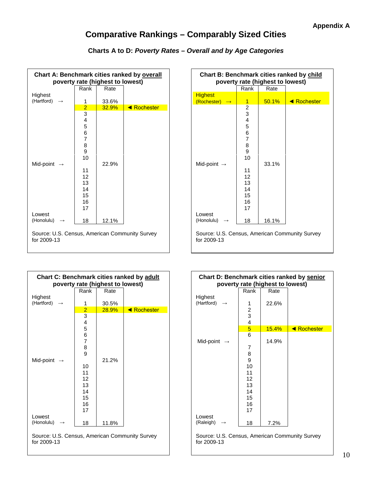#### **Comparative Rankings – Comparably Sized Cities**

#### **Charts A to D:** *Poverty Rates – Overall and by Age Categories*

| <b>Chart A: Benchmark cities ranked by overall</b><br>poverty rate (highest to lowest) |                                                                                              |       |             |  |  |
|----------------------------------------------------------------------------------------|----------------------------------------------------------------------------------------------|-------|-------------|--|--|
|                                                                                        | Rank                                                                                         | Rate  |             |  |  |
| Highest<br>(Hartford)                                                                  | 1                                                                                            | 33.6% |             |  |  |
|                                                                                        | $\overline{2}$                                                                               | 32.9% | ◀ Rochester |  |  |
| Mid-point                                                                              | 3<br>4<br>5<br>6<br>$\overline{7}$<br>8<br>9<br>10<br>11<br>12<br>13<br>14<br>15<br>16<br>17 | 22.9% |             |  |  |
| Lowest<br>(Honolulu)                                                                   | 18                                                                                           | 12.1% |             |  |  |
| Source: U.S. Census, American Community Survey<br>for 2009-13                          |                                                                                              |       |             |  |  |

| Chart B: Benchmark cities ranked by child<br>poverty rate (highest to lowest) |                                                                                                   |       |             |  |  |
|-------------------------------------------------------------------------------|---------------------------------------------------------------------------------------------------|-------|-------------|--|--|
|                                                                               | Rank                                                                                              | Rate  |             |  |  |
| <b>Highest</b><br>(Rochester)                                                 | 1                                                                                                 | 50.1% | ◀ Rochester |  |  |
| Mid-point $\rightarrow$                                                       | 2<br>3<br>4<br>5<br>6<br>$\overline{7}$<br>8<br>9<br>10<br>11<br>12<br>13<br>14<br>15<br>16<br>17 | 33.1% |             |  |  |
| Lowest<br>(Honolulu)                                                          | 18                                                                                                | 16.1% |             |  |  |
| Source: U.S. Census, American Community Survey<br>for 2009-13                 |                                                                                                   |       |             |  |  |

| Chart C: Benchmark cities ranked by adult<br>poverty rate (highest to lowest) |                                                                                                           |       |                    |  |  |
|-------------------------------------------------------------------------------|-----------------------------------------------------------------------------------------------------------|-------|--------------------|--|--|
|                                                                               | Rank                                                                                                      | Rate  |                    |  |  |
| Highest<br>(Hartford)                                                         | 1                                                                                                         | 30.5% |                    |  |  |
|                                                                               | $\overline{2}$                                                                                            | 28.9% | <b>E</b> Rochester |  |  |
| Mid-point<br>Lowest                                                           | $\overline{3}$<br>4<br>5<br>6<br>$\overline{7}$<br>8<br>9<br>10<br>11<br>12<br>13<br>14<br>15<br>16<br>17 | 21.2% |                    |  |  |
| (Honolulu)                                                                    | 18                                                                                                        | 11.8% |                    |  |  |
|                                                                               |                                                                                                           |       |                    |  |  |

Source: U.S. Census, American Community Survey for 2009-13

| Chart D: Benchmark cities ranked by senior |                         |       |             |  |  |  |
|--------------------------------------------|-------------------------|-------|-------------|--|--|--|
| poverty rate (highest to lowest)           |                         |       |             |  |  |  |
|                                            | Rank                    | Rate  |             |  |  |  |
| Highest                                    |                         |       |             |  |  |  |
| (Hartford)<br>$\rightarrow$                | 1                       | 22.6% |             |  |  |  |
|                                            | $\frac{2}{3}$           |       |             |  |  |  |
|                                            |                         |       |             |  |  |  |
|                                            | $\overline{\mathbf{4}}$ |       |             |  |  |  |
|                                            | $\overline{5}$          | 15.4% | ◀ Rochester |  |  |  |
|                                            | 6                       |       |             |  |  |  |
| Mid-point $\rightarrow$                    |                         | 14.9% |             |  |  |  |
|                                            | 7                       |       |             |  |  |  |
|                                            | 8                       |       |             |  |  |  |
|                                            | 9                       |       |             |  |  |  |
|                                            | 10                      |       |             |  |  |  |
|                                            | 11                      |       |             |  |  |  |
|                                            | 12                      |       |             |  |  |  |
|                                            | 13                      |       |             |  |  |  |
|                                            | 14                      |       |             |  |  |  |
|                                            | 15                      |       |             |  |  |  |
|                                            | 16                      |       |             |  |  |  |
|                                            | 17                      |       |             |  |  |  |
| Lowest                                     |                         |       |             |  |  |  |
| (Raleigh)                                  | 18                      | 7.2%  |             |  |  |  |

Source: U.S. Census, American Community Survey for 2009-13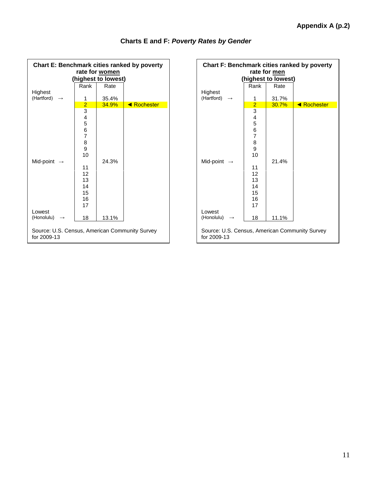| <b>Chart E: Benchmark cities ranked by poverty</b>            |                                                                                                       |       |             |  |  |  |  |
|---------------------------------------------------------------|-------------------------------------------------------------------------------------------------------|-------|-------------|--|--|--|--|
| rate for women<br>(highest to lowest)                         |                                                                                                       |       |             |  |  |  |  |
|                                                               | Rank                                                                                                  | Rate  |             |  |  |  |  |
| Highest<br>(Hartford)                                         | 1                                                                                                     | 35.4% |             |  |  |  |  |
|                                                               | $\frac{2}{3}$                                                                                         | 34.9% | ◀ Rochester |  |  |  |  |
| Mid-point                                                     | $\overline{\mathbf{4}}$<br>5<br>$rac{6}{7}$<br>8<br>9<br>10<br>11<br>12<br>13<br>14<br>15<br>16<br>17 | 24.3% |             |  |  |  |  |
| Lowest<br>(Honolulu)                                          | 18                                                                                                    | 13.1% |             |  |  |  |  |
| Source: U.S. Census, American Community Survey<br>for 2009-13 |                                                                                                       |       |             |  |  |  |  |

#### **Charts E and F:** *Poverty Rates by Gender*

| Chart F: Benchmark cities ranked by poverty<br>rate for men<br>(highest to lowest) |                                                                                                       |                |             |  |  |  |
|------------------------------------------------------------------------------------|-------------------------------------------------------------------------------------------------------|----------------|-------------|--|--|--|
|                                                                                    | Rank                                                                                                  | Rate           |             |  |  |  |
| Highest                                                                            |                                                                                                       |                |             |  |  |  |
| (Hartford)                                                                         | 1                                                                                                     | 31.7%          |             |  |  |  |
| Mid-point<br>Lowest                                                                | $\frac{2}{3}$ 4<br>5<br>6<br>$\overline{7}$<br>8<br>9<br>10<br>11<br>12<br>13<br>14<br>15<br>16<br>17 | 30.7%<br>21.4% | ◀ Rochester |  |  |  |
| (Honolulu)                                                                         | 18                                                                                                    | 11.1%          |             |  |  |  |
| Source: U.S. Census, American Community Survey<br>for 2009-13                      |                                                                                                       |                |             |  |  |  |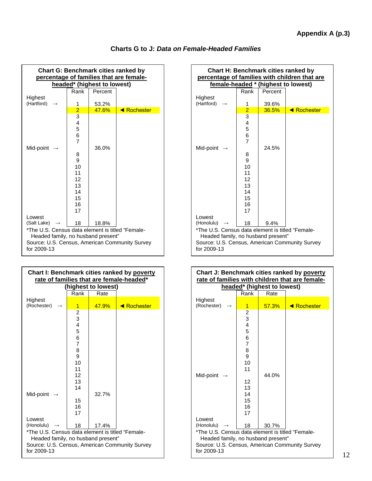| <b>Chart G: Benchmark cities ranked by</b><br>percentage of families that are female- |                |                             |             |  |  |
|---------------------------------------------------------------------------------------|----------------|-----------------------------|-------------|--|--|
|                                                                                       |                | headed* (highest to lowest) |             |  |  |
|                                                                                       | Rank           | Percent                     |             |  |  |
| Highest                                                                               |                |                             |             |  |  |
| (Hartford)                                                                            | 1              | 53.2%                       |             |  |  |
|                                                                                       | $\frac{2}{3}$  | 47.6%                       | ◀ Rochester |  |  |
|                                                                                       |                |                             |             |  |  |
|                                                                                       | 4              |                             |             |  |  |
|                                                                                       | 5              |                             |             |  |  |
|                                                                                       | 6              |                             |             |  |  |
|                                                                                       | $\overline{7}$ |                             |             |  |  |
| Mid-point                                                                             |                | 36.0%                       |             |  |  |
|                                                                                       | 8              |                             |             |  |  |
|                                                                                       | 9              |                             |             |  |  |
|                                                                                       | 10             |                             |             |  |  |
|                                                                                       | 11             |                             |             |  |  |
|                                                                                       | 12             |                             |             |  |  |
|                                                                                       | 13             |                             |             |  |  |
|                                                                                       | 14             |                             |             |  |  |
|                                                                                       | 15             |                             |             |  |  |
|                                                                                       | 16             |                             |             |  |  |
|                                                                                       | 17             |                             |             |  |  |
| Lowest<br>(Salt Lake)                                                                 |                |                             |             |  |  |
|                                                                                       | 18             | 18.8%                       |             |  |  |
| *The U.S. Census data element is titled "Female-                                      |                |                             |             |  |  |
| Headed family, no husband present"                                                    |                |                             |             |  |  |
| Source: U.S. Census, American Community Survey<br>for 2009-13                         |                |                             |             |  |  |

| Chart I: Benchmark cities ranked by poverty<br>rate of families that are female-headed*                                                                               |                                                                                 |                     |             |  |  |  |
|-----------------------------------------------------------------------------------------------------------------------------------------------------------------------|---------------------------------------------------------------------------------|---------------------|-------------|--|--|--|
|                                                                                                                                                                       |                                                                                 | (highest to lowest) |             |  |  |  |
|                                                                                                                                                                       | Rank                                                                            | Rate                |             |  |  |  |
| Highest                                                                                                                                                               |                                                                                 |                     |             |  |  |  |
| (Rochester)                                                                                                                                                           | 1                                                                               | 47.9%               | ◀ Rochester |  |  |  |
|                                                                                                                                                                       | 2<br>3<br>4<br>5<br>6<br>$\overline{7}$<br>8<br>9<br>10<br>11<br>12<br>13<br>14 |                     |             |  |  |  |
| Mid-point                                                                                                                                                             | 15<br>16<br>17                                                                  | 32.7%               |             |  |  |  |
| Lowest                                                                                                                                                                |                                                                                 |                     |             |  |  |  |
| (Honolulu)<br>18<br>17.4%<br>*The U.S. Census data element is titled "Female-<br>Headed family, no husband present"<br>Source: U.S. Census, American Community Survey |                                                                                 |                     |             |  |  |  |
| for 2009-13                                                                                                                                                           |                                                                                 |                     |             |  |  |  |

| <b>Chart H: Benchmark cities ranked by</b><br>percentage of families with children that are |                |         |             |  |  |  |
|---------------------------------------------------------------------------------------------|----------------|---------|-------------|--|--|--|
| female-headed * (highest to lowest)                                                         |                |         |             |  |  |  |
|                                                                                             | Rank           | Percent |             |  |  |  |
| Highest                                                                                     |                |         |             |  |  |  |
| (Hartford)                                                                                  | 1              | 39.6%   |             |  |  |  |
|                                                                                             | $\overline{2}$ | 36.5%   | ◀ Rochester |  |  |  |
|                                                                                             | 3              |         |             |  |  |  |
|                                                                                             | 4              |         |             |  |  |  |
|                                                                                             | 5              |         |             |  |  |  |
|                                                                                             | 6              |         |             |  |  |  |
|                                                                                             | $\overline{7}$ |         |             |  |  |  |
| Mid-point $\rightarrow$                                                                     |                | 24.5%   |             |  |  |  |
|                                                                                             | 8              |         |             |  |  |  |
|                                                                                             | 9              |         |             |  |  |  |
|                                                                                             | 10             |         |             |  |  |  |
|                                                                                             | 11             |         |             |  |  |  |
|                                                                                             | 12             |         |             |  |  |  |
|                                                                                             | 13             |         |             |  |  |  |
|                                                                                             | 14             |         |             |  |  |  |
|                                                                                             | 15             |         |             |  |  |  |
|                                                                                             | 16             |         |             |  |  |  |
|                                                                                             | 17             |         |             |  |  |  |
| Lowest                                                                                      |                |         |             |  |  |  |
| (Honolulu) $\rightarrow$                                                                    | 18             | 9.4%    |             |  |  |  |
| *The U.S. Census data element is titled "Female-                                            |                |         |             |  |  |  |
| Headed family, no husband present"                                                          |                |         |             |  |  |  |
| Source: U.S. Census, American Community Survey                                              |                |         |             |  |  |  |
| for 2009-13                                                                                 |                |         |             |  |  |  |

| Chart J: Benchmark cities ranked by poverty<br>rate of families with children that are female-<br>headed* (highest to lowest)                                    |                                                                                                                         |       |                    |  |  |
|------------------------------------------------------------------------------------------------------------------------------------------------------------------|-------------------------------------------------------------------------------------------------------------------------|-------|--------------------|--|--|
|                                                                                                                                                                  | Rank                                                                                                                    | Rate  |                    |  |  |
| Highest                                                                                                                                                          |                                                                                                                         |       |                    |  |  |
| (Rochester)                                                                                                                                                      | 1                                                                                                                       | 57.3% | <b>E</b> Rochester |  |  |
| Mid-point                                                                                                                                                        | $\overline{\mathbf{c}}$<br>3<br>4<br>5<br>6<br>$\overline{7}$<br>8<br>9<br>10<br>11<br>12<br>13<br>14<br>15<br>16<br>17 | 44.0% |                    |  |  |
| Lowest<br>(Honolulu)                                                                                                                                             | 18                                                                                                                      |       |                    |  |  |
| 30.7%<br>*The U.S. Census data element is titled "Female-<br>Headed family, no husband present"<br>Source: U.S. Census, American Community Survey<br>for 2009-13 |                                                                                                                         |       |                    |  |  |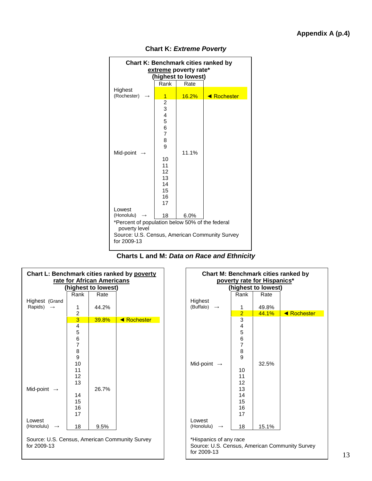

**Chart K:** *Extreme Poverty* 

| Charts L and M: <i>Data on Race and Ethnicity</i> |  |
|---------------------------------------------------|--|
|---------------------------------------------------|--|

| Chart L: Benchmark cities ranked by poverty<br>rate for African Americans |                              |                     |                    |  |
|---------------------------------------------------------------------------|------------------------------|---------------------|--------------------|--|
|                                                                           |                              | (highest to lowest) |                    |  |
|                                                                           | Rank                         | Rate                |                    |  |
| Highest (Grand                                                            |                              |                     |                    |  |
| Rapids) $\rightarrow$                                                     | 1                            | 44.2%               |                    |  |
|                                                                           | $\overline{\mathbf{c}}$<br>3 | <b>39.8%</b>        | <b>E</b> Rochester |  |
|                                                                           | 4                            |                     |                    |  |
|                                                                           | 5                            |                     |                    |  |
|                                                                           | 6                            |                     |                    |  |
|                                                                           | $\overline{7}$               |                     |                    |  |
|                                                                           | 8                            |                     |                    |  |
|                                                                           | 9                            |                     |                    |  |
|                                                                           | 10                           |                     |                    |  |
|                                                                           | 11                           |                     |                    |  |
|                                                                           | 12                           |                     |                    |  |
|                                                                           | 13                           | 26.7%               |                    |  |
| Mid-point $\rightarrow$                                                   | 14                           |                     |                    |  |
|                                                                           | 15                           |                     |                    |  |
|                                                                           | 16                           |                     |                    |  |
|                                                                           | 17                           |                     |                    |  |
| Lowest                                                                    |                              |                     |                    |  |
| (Honolulu)                                                                | 18                           | 9.5%                |                    |  |
| Source: U.S. Census, American Community Survey<br>for 2009-13             |                              |                     |                    |  |

| <b>Chart M: Benchmark cities ranked by</b>                                                    |                                                                                                     |       |                    |  |  |  |  |
|-----------------------------------------------------------------------------------------------|-----------------------------------------------------------------------------------------------------|-------|--------------------|--|--|--|--|
| poverty rate for Hispanics*<br>(highest to lowest)                                            |                                                                                                     |       |                    |  |  |  |  |
|                                                                                               | Rank                                                                                                | Rate  |                    |  |  |  |  |
| Highest<br>(Buffalo)<br>$\longrightarrow$                                                     | 1                                                                                                   | 49.8% |                    |  |  |  |  |
|                                                                                               | $\overline{2}$                                                                                      | 44.1% | <b>E</b> Rochester |  |  |  |  |
| Mid-point $\rightarrow$<br>Lowest                                                             | $\overline{3}$<br>4<br>5<br>$\frac{6}{7}$<br>8<br>9<br>10<br>11<br>12<br>13<br>14<br>15<br>16<br>17 | 32.5% |                    |  |  |  |  |
| (Honolulu)<br>$\rightarrow$                                                                   | 18                                                                                                  | 15.1% |                    |  |  |  |  |
| *Hispanics of any race<br>Source: U.S. Census, American Community Survey<br>for 2009-13<br>13 |                                                                                                     |       |                    |  |  |  |  |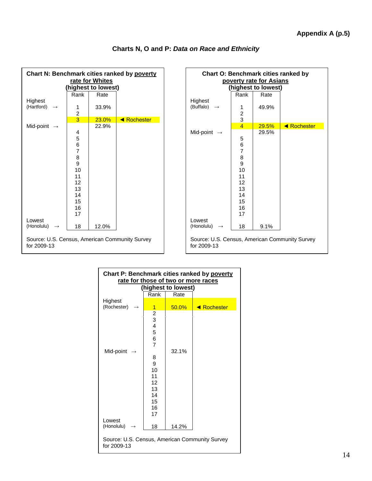| Chart N: Benchmark cities ranked by poverty                   |                              |                    |                    |  |  |  |
|---------------------------------------------------------------|------------------------------|--------------------|--------------------|--|--|--|
| rate for Whites                                               |                              |                    |                    |  |  |  |
|                                                               |                              | highest to lowest) |                    |  |  |  |
|                                                               | Rank                         | Rate               |                    |  |  |  |
| Highest<br>(Hartford)                                         | 1<br>$\overline{\mathbf{c}}$ | 33.9%              |                    |  |  |  |
|                                                               | $\overline{3}$               | 23.0%              | <b>E</b> Rochester |  |  |  |
| Mid-point $\rightarrow$                                       | 4<br>5                       | 22.9%              |                    |  |  |  |
|                                                               | 6<br>7<br>8                  |                    |                    |  |  |  |
|                                                               | 9<br>10                      |                    |                    |  |  |  |
|                                                               | 11<br>12<br>13               |                    |                    |  |  |  |
|                                                               | 14<br>15<br>16               |                    |                    |  |  |  |
|                                                               | 17                           |                    |                    |  |  |  |
| Lowest<br>(Honolulu)<br>$\rightarrow$                         | 18                           | 12.0%              |                    |  |  |  |
| Source: U.S. Census, American Community Survey<br>for 2009-13 |                              |                    |                    |  |  |  |

#### **Charts N, O and P:** *Data on Race and Ethnicity*

| <b>Chart O: Benchmark cities ranked by</b><br>poverty rate for Asians |                |                     |             |  |
|-----------------------------------------------------------------------|----------------|---------------------|-------------|--|
|                                                                       |                | (highest to lowest) |             |  |
|                                                                       | Rank           | Rate                |             |  |
| Highest                                                               |                |                     |             |  |
| (Buffalo)                                                             | 1              | 49.9%               |             |  |
|                                                                       | $\frac{2}{3}$  |                     |             |  |
|                                                                       | $\overline{4}$ | 29.5%               | ◀ Rochester |  |
| Mid-point                                                             |                | 29.5%               |             |  |
|                                                                       | 5              |                     |             |  |
|                                                                       | 6              |                     |             |  |
|                                                                       | $\overline{7}$ |                     |             |  |
|                                                                       | 8              |                     |             |  |
|                                                                       | 9<br>10        |                     |             |  |
|                                                                       | 11             |                     |             |  |
|                                                                       | 12             |                     |             |  |
|                                                                       | 13             |                     |             |  |
|                                                                       | 14             |                     |             |  |
|                                                                       | 15             |                     |             |  |
|                                                                       | 16<br>17       |                     |             |  |
| Lowest                                                                |                |                     |             |  |
| (Honolulu)                                                            | 18             | 9.1%                |             |  |
| Source: U.S. Census, American Community Survey<br>for 2009-13         |                |                     |             |  |

| Chart P: Benchmark cities ranked by poverty<br>rate for those of two or more races |                                                                                     |          |             |  |  |  |
|------------------------------------------------------------------------------------|-------------------------------------------------------------------------------------|----------|-------------|--|--|--|
| (highest to lowest)                                                                |                                                                                     |          |             |  |  |  |
|                                                                                    | Rank                                                                                | Rate     |             |  |  |  |
| Highest<br>(Rochester)                                                             | 1                                                                                   | $50.0\%$ | ◀ Rochester |  |  |  |
|                                                                                    | $\overline{\mathbf{c}}$<br>3<br>$\overline{\mathbf{4}}$<br>5<br>6<br>$\overline{7}$ |          |             |  |  |  |
| Mid-point                                                                          | 8<br>9<br>10<br>11<br>12<br>13<br>14<br>15<br>16<br>17                              | 32.1%    |             |  |  |  |
| Lowest<br>(Honolulu)                                                               | 18                                                                                  | 14.2%    |             |  |  |  |
| Source: U.S. Census, American Community Survey<br>for 2009-13                      |                                                                                     |          |             |  |  |  |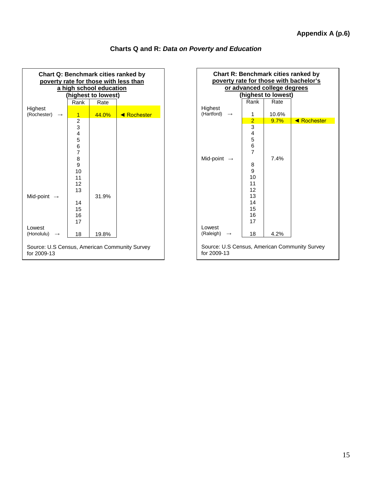

#### **Charts Q and R:** *Data on Poverty and Education*

| <b>Chart R: Benchmark cities ranked by</b><br>poverty rate for those with bachelor's |                |                     |             |  |  |  |
|--------------------------------------------------------------------------------------|----------------|---------------------|-------------|--|--|--|
| or advanced college degrees                                                          |                |                     |             |  |  |  |
|                                                                                      |                | (highest to lowest) |             |  |  |  |
|                                                                                      | Rank           | Rate                |             |  |  |  |
| Highest<br>(Hartford)                                                                | 1              | 10.6%               |             |  |  |  |
|                                                                                      |                | 9.7%                | ◀ Rochester |  |  |  |
|                                                                                      | $\frac{2}{3}$  |                     |             |  |  |  |
|                                                                                      |                |                     |             |  |  |  |
|                                                                                      | $\frac{4}{5}$  |                     |             |  |  |  |
|                                                                                      | 6              |                     |             |  |  |  |
|                                                                                      | $\overline{7}$ |                     |             |  |  |  |
| Mid-point $\rightarrow$                                                              |                | 7.4%                |             |  |  |  |
|                                                                                      | 8              |                     |             |  |  |  |
|                                                                                      | 9<br>10        |                     |             |  |  |  |
|                                                                                      | 11             |                     |             |  |  |  |
|                                                                                      | 12             |                     |             |  |  |  |
|                                                                                      | 13             |                     |             |  |  |  |
|                                                                                      | 14             |                     |             |  |  |  |
|                                                                                      | 15             |                     |             |  |  |  |
|                                                                                      | 16             |                     |             |  |  |  |
|                                                                                      | 17             |                     |             |  |  |  |
| Lowest                                                                               |                |                     |             |  |  |  |
| (Raleigh)                                                                            | 18             | 4.2%                |             |  |  |  |
| Source: U.S Census, American Community Survey<br>for 2009-13                         |                |                     |             |  |  |  |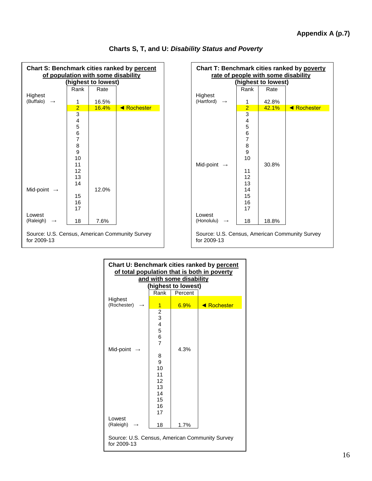

|  |  |  | Charts S, T, and U: Disability Status and Poverty |  |  |  |
|--|--|--|---------------------------------------------------|--|--|--|
|--|--|--|---------------------------------------------------|--|--|--|

| Chart T: Benchmark cities ranked by poverty<br>rate of people with some disability |                                                                                                                                 |                    |             |
|------------------------------------------------------------------------------------|---------------------------------------------------------------------------------------------------------------------------------|--------------------|-------------|
|                                                                                    |                                                                                                                                 | highest to lowest) |             |
|                                                                                    | Rank                                                                                                                            | Rate               |             |
| Highest<br>(Hartford)                                                              | 1                                                                                                                               | 42.8%              |             |
|                                                                                    | $\overline{2}$                                                                                                                  | 42.1%              | ◀ Rochester |
| Mid-point $\rightarrow$                                                            | $\overline{3}$<br>$\overline{\mathbf{4}}$<br>5<br>6<br>$\overline{7}$<br>8<br>9<br>10<br>11<br>12<br>13<br>14<br>15<br>16<br>17 | 30.8%              |             |
| Lowest<br>(Honolulu)                                                               | 18                                                                                                                              | 18.8%              |             |
| Source: U.S. Census, American Community Survey<br>for 2009-13                      |                                                                                                                                 |                    |             |

| Chart U: Benchmark cities ranked by percent<br>of total population that is both in poverty<br>and with some disability<br>(highest to lowest) |                                                                                                                                  |         |             |
|-----------------------------------------------------------------------------------------------------------------------------------------------|----------------------------------------------------------------------------------------------------------------------------------|---------|-------------|
|                                                                                                                                               | Rank                                                                                                                             | Percent |             |
| Highest<br>(Rochester)                                                                                                                        | 1                                                                                                                                | 6.9%    | ◀ Rochester |
| Mid-point                                                                                                                                     | $\begin{array}{c} 2 \\ 3 \\ 4 \end{array}$<br>5<br>6<br>$\overline{7}$<br>8<br>9<br>10<br>11<br>12<br>13<br>14<br>15<br>16<br>17 | 4.3%    |             |
| Lowest<br>(Raleigh)                                                                                                                           | 18                                                                                                                               | 1.7%    |             |
| Source: U.S. Census, American Community Survey<br>for 2009-13                                                                                 |                                                                                                                                  |         |             |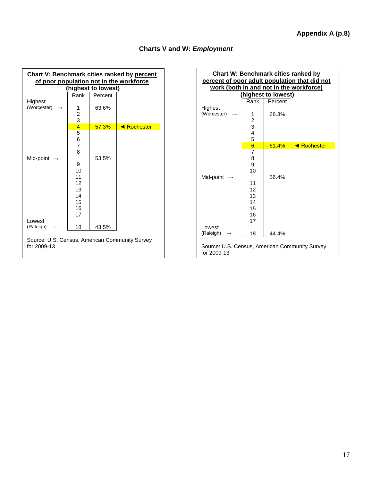| Chart V: Benchmark cities ranked by percent<br>of poor population not in the workforce |                                                                               |                     |                    |  |
|----------------------------------------------------------------------------------------|-------------------------------------------------------------------------------|---------------------|--------------------|--|
|                                                                                        |                                                                               | (highest to lowest) |                    |  |
|                                                                                        | Rank                                                                          | Percent             |                    |  |
| Highest<br>(Worcester)                                                                 | 1<br>$\begin{array}{c}\n2 \\ 3 \\ 4 \\ 5\n\end{array}$                        | 63.6%               |                    |  |
|                                                                                        |                                                                               | 57.3%               | <b>E</b> Rochester |  |
| Mid-point                                                                              | 6<br>$\overline{7}$<br>8<br>9<br>10<br>11<br>12<br>13<br>14<br>15<br>16<br>17 | 53.5%               |                    |  |
| Lowest<br>(Raleigh)                                                                    | 18                                                                            | 43.5%               |                    |  |
| Source: U.S. Census, American Community Survey<br>for 2009-13                          |                                                                               |                     |                    |  |

#### **Charts V and W:** *Employment*

| <b>Chart W: Benchmark cities ranked by</b><br>percent of poor adult population that did not<br>work (both in and not in the workforce) |                 |                                |             |
|----------------------------------------------------------------------------------------------------------------------------------------|-----------------|--------------------------------|-------------|
|                                                                                                                                        |                 |                                |             |
|                                                                                                                                        | Rank            | (highest to lowest)<br>Percent |             |
| Highest                                                                                                                                |                 |                                |             |
| (Worcester)                                                                                                                            | 1               | 68.3%                          |             |
|                                                                                                                                        |                 |                                |             |
|                                                                                                                                        | $\frac{2}{3}$   |                                |             |
|                                                                                                                                        | $\frac{4}{5}$   |                                |             |
|                                                                                                                                        |                 |                                |             |
|                                                                                                                                        | $6\overline{6}$ | 61.4%                          | ◀ Rochester |
|                                                                                                                                        | 7<br>8          |                                |             |
|                                                                                                                                        | 9               |                                |             |
|                                                                                                                                        | 10              |                                |             |
| Mid-point                                                                                                                              |                 | 56.4%                          |             |
|                                                                                                                                        | 11              |                                |             |
|                                                                                                                                        | 12              |                                |             |
|                                                                                                                                        | 13              |                                |             |
|                                                                                                                                        | 14<br>15        |                                |             |
|                                                                                                                                        | 16              |                                |             |
|                                                                                                                                        | 17              |                                |             |
| Lowest                                                                                                                                 |                 |                                |             |
| (Raleigh)                                                                                                                              | 18              | 44.4%                          |             |
| Source: U.S. Census, American Community Survey<br>for 2009-13                                                                          |                 |                                |             |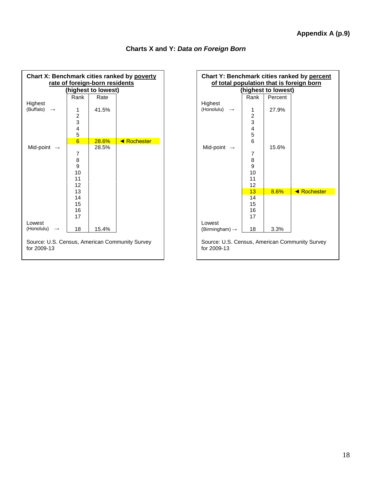| Chart X: Benchmark cities ranked by poverty<br>rate of foreign-born residents<br>(highest to lowest) |                                                             |       |             |
|------------------------------------------------------------------------------------------------------|-------------------------------------------------------------|-------|-------------|
|                                                                                                      | Rank                                                        | Rate  |             |
| Highest<br>(Buffalo)                                                                                 | 1<br>$\frac{2}{3}$<br>4<br>5                                | 41.5% |             |
|                                                                                                      | 6                                                           | 28.6% | ◀ Rochester |
| Mid-point<br>Lowest                                                                                  | 7<br>8<br>9<br>10<br>11<br>12<br>13<br>14<br>15<br>16<br>17 | 28.5% |             |
| (Honolulu)                                                                                           | 18                                                          | 15.4% |             |
| Source: U.S. Census, American Community Survey<br>for 2009-13                                        |                                                             |       |             |

#### **Charts X and Y:** *Data on Foreign Born*

| Chart Y: Benchmark cities ranked by percent<br>of total population that is foreign born |                                                   |                     |             |
|-----------------------------------------------------------------------------------------|---------------------------------------------------|---------------------|-------------|
|                                                                                         |                                                   | (highest to lowest) |             |
|                                                                                         | Rank                                              | Percent             |             |
| Highest                                                                                 |                                                   |                     |             |
| (Honolulu)                                                                              | 1                                                 | 27.9%               |             |
|                                                                                         |                                                   |                     |             |
|                                                                                         |                                                   |                     |             |
|                                                                                         | $\begin{array}{c}\n2 \\ 3 \\ 4 \\ 5\n\end{array}$ |                     |             |
|                                                                                         | $\overline{6}$                                    |                     |             |
| Mid-point                                                                               |                                                   | 15.6%               |             |
|                                                                                         | 7                                                 |                     |             |
|                                                                                         | 8                                                 |                     |             |
|                                                                                         | 9                                                 |                     |             |
|                                                                                         | 10                                                |                     |             |
|                                                                                         | 11<br>12                                          |                     |             |
|                                                                                         | 13                                                | 8.6%                | ◀ Rochester |
|                                                                                         | 14                                                |                     |             |
|                                                                                         | 15                                                |                     |             |
|                                                                                         | 16                                                |                     |             |
|                                                                                         | 17                                                |                     |             |
| Lowest                                                                                  |                                                   |                     |             |
| (Birmingham) $\rightarrow$                                                              | 18                                                | 3.3%                |             |
| Source: U.S. Census, American Community Survey<br>for 2009-13                           |                                                   |                     |             |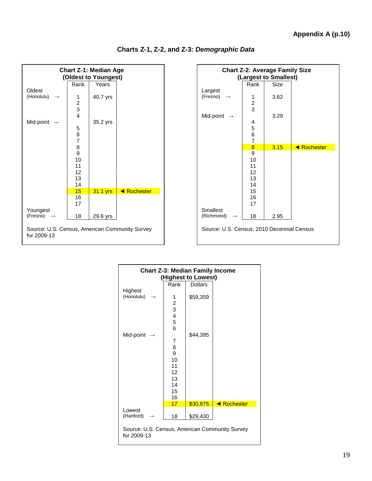| <b>Chart Z-1: Median Age</b><br>(Oldest to Youngest)          |                                            |          |             |
|---------------------------------------------------------------|--------------------------------------------|----------|-------------|
|                                                               | Rank                                       | Years    |             |
| Oldest                                                        |                                            |          |             |
| (Honolulu)                                                    | 1                                          | 40.7 yrs |             |
|                                                               |                                            |          |             |
|                                                               | $\begin{array}{c} 2 \\ 3 \\ 4 \end{array}$ |          |             |
|                                                               |                                            |          |             |
| Mid-point<br>$\rightarrow$                                    |                                            | 35.2 yrs |             |
|                                                               | 5                                          |          |             |
|                                                               | 6<br>$\overline{7}$                        |          |             |
|                                                               | 8                                          |          |             |
|                                                               | 9                                          |          |             |
|                                                               | 10                                         |          |             |
|                                                               | 11                                         |          |             |
|                                                               | 12                                         |          |             |
|                                                               | 13                                         |          |             |
|                                                               | 14                                         |          |             |
|                                                               | 15                                         | 31.1 yrs | ◀ Rochester |
|                                                               | 16                                         |          |             |
|                                                               | 17                                         |          |             |
| Youngest                                                      |                                            |          |             |
| (Fresno)                                                      | 18                                         | 29.6 yrs |             |
| Source: U.S. Census, American Community Survey<br>for 2009-13 |                                            |          |             |

| <b>Chart Z-2: Average Family Size</b>      |                |                       |                         |
|--------------------------------------------|----------------|-----------------------|-------------------------|
|                                            |                | (Largest to Smallest) |                         |
|                                            | Rank           | <b>Size</b>           |                         |
| Largest                                    |                |                       |                         |
| (Fresno)                                   | 1              | 3.62                  |                         |
|                                            | $\frac{2}{3}$  |                       |                         |
|                                            |                |                       |                         |
| Mid-point                                  |                | 3.29                  |                         |
|                                            | 4              |                       |                         |
|                                            |                |                       |                         |
|                                            | 5<br>6<br>7    |                       |                         |
|                                            |                |                       |                         |
|                                            | $\overline{8}$ | 3.15                  | <b>Exerta</b> Rochester |
|                                            | 9              |                       |                         |
|                                            | 10             |                       |                         |
|                                            | 11             |                       |                         |
|                                            | 12             |                       |                         |
|                                            | 13             |                       |                         |
|                                            | 14             |                       |                         |
|                                            | 15             |                       |                         |
|                                            | 16             |                       |                         |
|                                            | 17             |                       |                         |
| Smallest                                   |                |                       |                         |
| (Richmond)                                 | 18             | 2.95                  |                         |
| Source: U.S. Census, 2010 Decennial Census |                |                       |                         |

| <b>Chart Z-3: Median Family Income</b>                        |                         |                     |             |  |
|---------------------------------------------------------------|-------------------------|---------------------|-------------|--|
|                                                               |                         | (Highest to Lowest) |             |  |
|                                                               | Rank                    | <b>Dollars</b>      |             |  |
| Highest                                                       |                         |                     |             |  |
| (Honolulu)                                                    | 1                       | \$59,359            |             |  |
|                                                               | $\overline{\mathbf{c}}$ |                     |             |  |
|                                                               | 3                       |                     |             |  |
|                                                               | $\overline{\mathbf{4}}$ |                     |             |  |
|                                                               | 5                       |                     |             |  |
|                                                               | 6                       |                     |             |  |
| Mid-point                                                     |                         | \$44,395            |             |  |
|                                                               | 7                       |                     |             |  |
|                                                               | 8                       |                     |             |  |
|                                                               | 9                       |                     |             |  |
|                                                               | 10                      |                     |             |  |
|                                                               | 11                      |                     |             |  |
|                                                               | 12                      |                     |             |  |
|                                                               | 13                      |                     |             |  |
|                                                               | 14                      |                     |             |  |
|                                                               | 15                      |                     |             |  |
|                                                               | 16                      |                     |             |  |
|                                                               | 17                      | \$30,875            | ◀ Rochester |  |
| Lowest                                                        |                         |                     |             |  |
| (Hartford)                                                    | 18                      | \$29,430            |             |  |
| Source: U.S. Census, American Community Survey<br>for 2009-13 |                         |                     |             |  |
|                                                               |                         |                     |             |  |